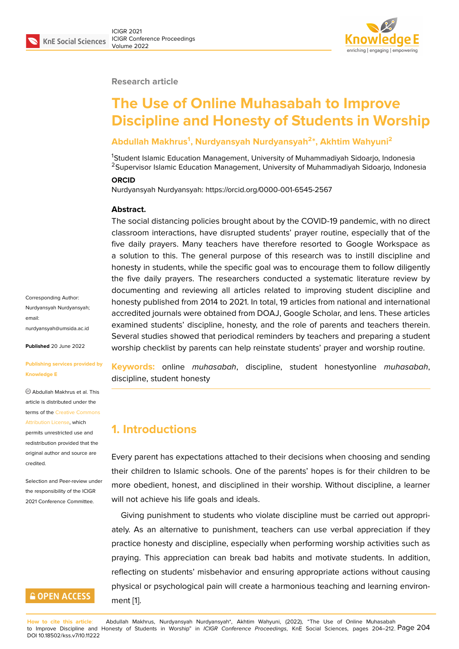### **Research article**

# **The Use of Online Muhasabah to Improve Discipline and Honesty of Students in Worship**

### **Abdullah Makhrus<sup>1</sup> , Nurdyansyah Nurdyansyah<sup>2</sup> \*, Akhtim Wahyuni<sup>2</sup>**

<sup>1</sup>Student Islamic Education Management, University of Muhammadiyah Sidoarjo, Indonesia <sup>2</sup>Supervisor Islamic Education Management, University of Muhammadiyah Sidoarjo, Indonesia

#### **ORCID**

Nurdyansyah Nurdyansyah: https://orcid.org/0000-001-6545-2567

#### **Abstract.**

The social distancing policies brought about by the COVID-19 pandemic, with no direct classroom interactions, have disrupted students' prayer routine, especially that of the five daily prayers. Many teachers have therefore resorted to Google Workspace as a solution to this. The general purpose of this research was to instill discipline and honesty in students, while the specific goal was to encourage them to follow diligently the five daily prayers. The researchers conducted a systematic literature review by documenting and reviewing all articles related to improving student discipline and honesty published from 2014 to 2021. In total, 19 articles from national and international accredited journals were obtained from DOAJ, Google Scholar, and lens. These articles examined students' discipline, honesty, and the role of parents and teachers therein. Several studies showed that periodical reminders by teachers and preparing a student worship checklist by parents can help reinstate students' prayer and worship routine.

**Keywords:** online *muhasabah*, discipline, student honestyonline *muhasabah*, discipline, student honesty

### **1. Introductions**

Every parent has expectations attached to their decisions when choosing and sending their children to Islamic schools. One of the parents' hopes is for their children to be more obedient, honest, and disciplined in their worship. Without discipline, a learner will not achieve his life goals and ideals.

Giving punishment to students who violate discipline must be carried out appropriately. As an alternative to punishment, teachers can use verbal appreciation if they practice honesty and discipline, especially when performing worship activities such as praying. This appreciation can break bad habits and motivate students. In addition, reflecting on students' misbehavior and ensuring appropriate actions without causing physical or psychological pain will create a harmonious teaching and learning environment [1].

Corresponding Author: Nurdyansyah Nurdyansyah; email: nurdyansyah@umsida.ac.id

**Published** 20 June 2022

### **[Publishing services provide](mailto:nurdyansyah@umsida.ac.id)d by Knowledge E**

Abdullah Makhrus et al. This article is distributed under the terms of the Creative Commons Attribution License, which permits unrestricted use and

redistribution provided that the original auth[or and source are](https://creativecommons.org/licenses/by/4.0/) [credited.](https://creativecommons.org/licenses/by/4.0/)

Selection and Peer-review under the responsibility of the ICIGR 2021 Conference Committee.

# **GOPEN ACCESS**

**How to cite this article**: Abdullah Makhrus, Nurdyansyah Nurdyansyah\*, Akhtim Wahyuni, (2022), "The Use of Online Muhasabah to Improve Discipline and Honesty of Students in Worship" in *ICIGR Conference Proceedings*, KnE Social Sciences, pages 204–212. Page 204 DOI 10.18502/kss.v7i10.11222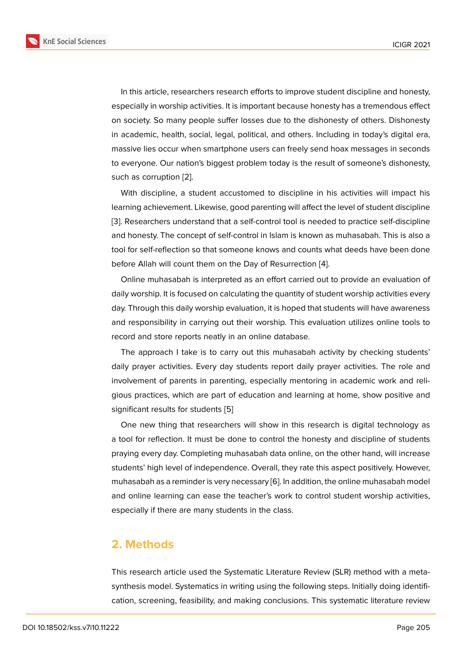In this article, researchers research efforts to improve student discipline and honesty, especially in worship activities. It is important because honesty has a tremendous effect on society. So many people suffer losses due to the dishonesty of others. Dishonesty in academic, health, social, legal, political, and others. Including in today's digital era, massive lies occur when smartphone users can freely send hoax messages in seconds to everyone. Our nation's biggest problem today is the result of someone's dishonesty, such as corruption [2].

With discipline, a student accustomed to discipline in his activities will impact his learning achievement. Likewise, good parenting will affect the level of student discipline [3]. Researchers un[de](#page-6-0)rstand that a self-control tool is needed to practice self-discipline and honesty. The concept of self-control in Islam is known as muhasabah. This is also a tool for self-reflection so that someone knows and counts what deeds have been done [be](#page-6-1)fore Allah will count them on the Day of Resurrection [4].

Online muhasabah is interpreted as an effort carried out to provide an evaluation of daily worship. It is focused on calculating the quantity of student worship activities every day. Through this daily worship evaluation, it is hoped tha[t s](#page-6-2)tudents will have awareness and responsibility in carrying out their worship. This evaluation utilizes online tools to record and store reports neatly in an online database.

The approach I take is to carry out this muhasabah activity by checking students' daily prayer activities. Every day students report daily prayer activities. The role and involvement of parents in parenting, especially mentoring in academic work and religious practices, which are part of education and learning at home, show positive and significant results for students [5]

One new thing that researchers will show in this research is digital technology as a tool for reflection. It must be done to control the honesty and discipline of students praying every day. Completing [m](#page-6-3)uhasabah data online, on the other hand, will increase students' high level of independence. Overall, they rate this aspect positively. However, muhasabah as a reminder is very necessary [6]. In addition, the online muhasabah model and online learning can ease the teacher's work to control student worship activities, especially if there are many students in the class.

## **2. Methods**

This research article used the Systematic Literature Review (SLR) method with a metasynthesis model. Systematics in writing using the following steps. Initially doing identification, screening, feasibility, and making conclusions. This systematic literature review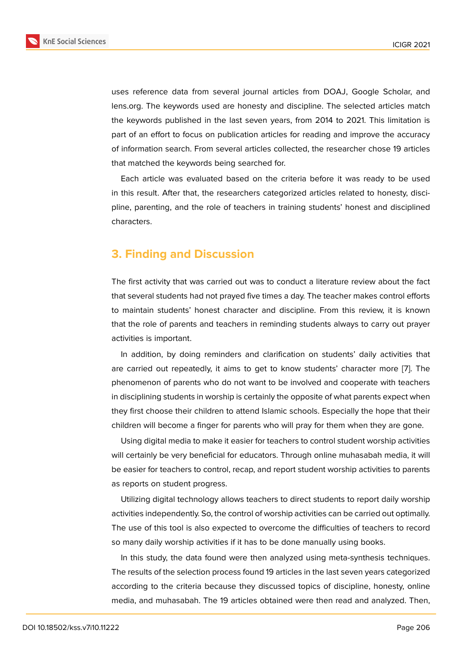uses reference data from several journal articles from DOAJ, Google Scholar, and lens.org. The keywords used are honesty and discipline. The selected articles match the keywords published in the last seven years, from 2014 to 2021. This limitation is part of an effort to focus on publication articles for reading and improve the accuracy of information search. From several articles collected, the researcher chose 19 articles that matched the keywords being searched for.

Each article was evaluated based on the criteria before it was ready to be used in this result. After that, the researchers categorized articles related to honesty, discipline, parenting, and the role of teachers in training students' honest and disciplined characters.

# **3. Finding and Discussion**

The first activity that was carried out was to conduct a literature review about the fact that several students had not prayed five times a day. The teacher makes control efforts to maintain students' honest character and discipline. From this review, it is known that the role of parents and teachers in reminding students always to carry out prayer activities is important.

In addition, by doing reminders and clarification on students' daily activities that are carried out repeatedly, it aims to get to know students' character more [7]. The phenomenon of parents who do not want to be involved and cooperate with teachers in disciplining students in worship is certainly the opposite of what parents expect when they first choose their children to attend Islamic schools. Especially the hope t[ha](#page-7-0)t their children will become a finger for parents who will pray for them when they are gone.

Using digital media to make it easier for teachers to control student worship activities will certainly be very beneficial for educators. Through online muhasabah media, it will be easier for teachers to control, recap, and report student worship activities to parents as reports on student progress.

Utilizing digital technology allows teachers to direct students to report daily worship activities independently. So, the control of worship activities can be carried out optimally. The use of this tool is also expected to overcome the difficulties of teachers to record so many daily worship activities if it has to be done manually using books.

In this study, the data found were then analyzed using meta-synthesis techniques. The results of the selection process found 19 articles in the last seven years categorized according to the criteria because they discussed topics of discipline, honesty, online media, and muhasabah. The 19 articles obtained were then read and analyzed. Then,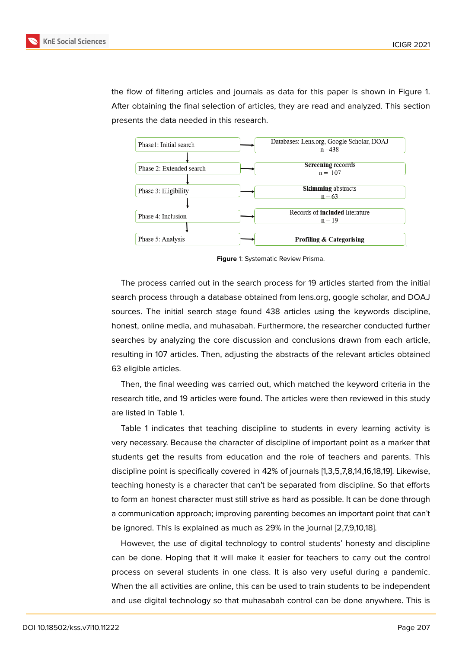the flow of filtering articles and journals as data for this paper is shown in Figure 1. After obtaining the final selection of articles, they are read and analyzed. This section presents the data needed in this research.



**Figure** 1: Systematic Review Prisma.

The process carried out in the search process for 19 articles started from the initial search process through a database obtained from lens.org, google scholar, and DOAJ sources. The initial search stage found 438 articles using the keywords discipline, honest, online media, and muhasabah. Furthermore, the researcher conducted further searches by analyzing the core discussion and conclusions drawn from each article, resulting in 107 articles. Then, adjusting the abstracts of the relevant articles obtained 63 eligible articles.

Then, the final weeding was carried out, which matched the keyword criteria in the research title, and 19 articles were found. The articles were then reviewed in this study are listed in Table 1.

Table 1 indicates that teaching discipline to students in every learning activity is very necessary. Because the character of discipline of important point as a marker that students get the results from education and the role of teachers and parents. This discipline point is specifically covered in 42% of journals [1,3,5,7,8,14,16,18,19]. Likewise, teaching honesty is a character that can't be separated from discipline. So that efforts to form an honest character must still strive as hard as possible. It can be done through a communication approach; improving parenting becomes an important point that can't be ignored. This is explained as much as 29% in the journal [2,7,9,10,18].

However, the use of digital technology to control students' honesty and discipline can be done. Hoping that it will make it easier for teachers to carry out the control process on several students in one class. It is also very useful during a pandemic. When the all activities are online, this can be used to train students to be independent and use digital technology so that muhasabah control can be done anywhere. This is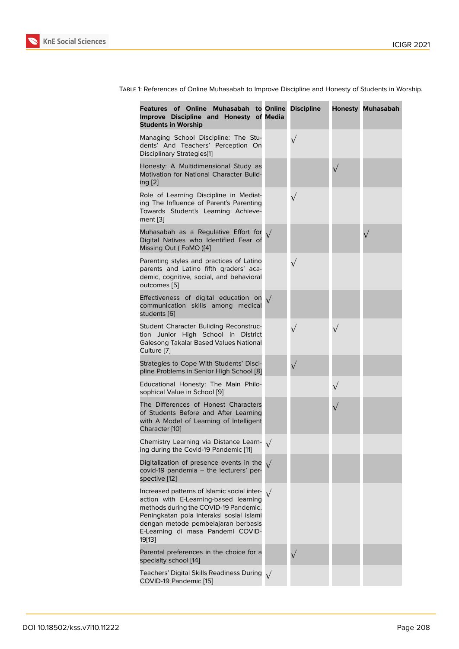| Features of Online Muhasabah to Online Discipline<br>Improve Discipline and Honesty of Media<br><b>Students in Worship</b>                                                                                                                                      |           |           | <b>Honesty Muhasabah</b> |
|-----------------------------------------------------------------------------------------------------------------------------------------------------------------------------------------------------------------------------------------------------------------|-----------|-----------|--------------------------|
| Managing School Discipline: The Stu-<br>dents' And Teachers' Perception On<br>Disciplinary Strategies[1]                                                                                                                                                        |           | $\sqrt{}$ |                          |
| Honesty: A Multidimensional Study as<br>Motivation for National Character Build-<br>ing [2]                                                                                                                                                                     |           |           |                          |
| Role of Learning Discipline in Mediat-<br>ing The Influence of Parent's Parenting<br>Towards Student's Learning Achieve-<br>ment $[3]$                                                                                                                          |           | $\sqrt{}$ |                          |
| Muhasabah as a Regulative Effort for<br>Digital Natives who Identified Fear of<br>Missing Out (FoMO)[4]                                                                                                                                                         |           |           |                          |
| Parenting styles and practices of Latino<br>parents and Latino fifth graders' aca-<br>demic, cognitive, social, and behavioral<br>outcomes [5]                                                                                                                  |           | $\sqrt{}$ |                          |
| Effectiveness of digital education on<br>communication skills among medical<br>students [6]                                                                                                                                                                     |           |           |                          |
| Student Character Buliding Reconstruc-<br>tion Junior High School in District<br>Galesong Takalar Based Values National<br>Culture [7]                                                                                                                          |           |           |                          |
| Strategies to Cope With Students' Disci-<br>pline Problems in Senior High School [8]                                                                                                                                                                            |           |           |                          |
| Educational Honesty: The Main Philo-<br>sophical Value in School [9]                                                                                                                                                                                            |           |           |                          |
| The Differences of Honest Characters<br>of Students Before and After Learning<br>with A Model of Learning of Intelligent<br>Character [10]                                                                                                                      |           |           |                          |
| Chemistry Learning via Distance Learn- $\sqrt{ }$<br>ing during the Covid-19 Pandemic [11]                                                                                                                                                                      |           |           |                          |
| Digitalization of presence events in the<br>covid-19 pandemia - the lecturers' per-<br>spective [12]                                                                                                                                                            | $\sqrt{}$ |           |                          |
| Increased patterns of Islamic social inter-<br>action with E-Learning-based learning<br>methods during the COVID-19 Pandemic.<br>Peningkatan pola interaksi sosial islami<br>dengan metode pembelajaran berbasis<br>E-Learning di masa Pandemi COVID-<br>19[13] |           |           |                          |
| Parental preferences in the choice for a<br>specialty school [14]                                                                                                                                                                                               |           |           |                          |
| Teachers' Digital Skills Readiness During $\sqrt{}$<br>COVID-19 Pandemic [15]                                                                                                                                                                                   |           |           |                          |

Table 1: References of Online Muhasabah to Improve Discipline and Honesty of Students in Worship.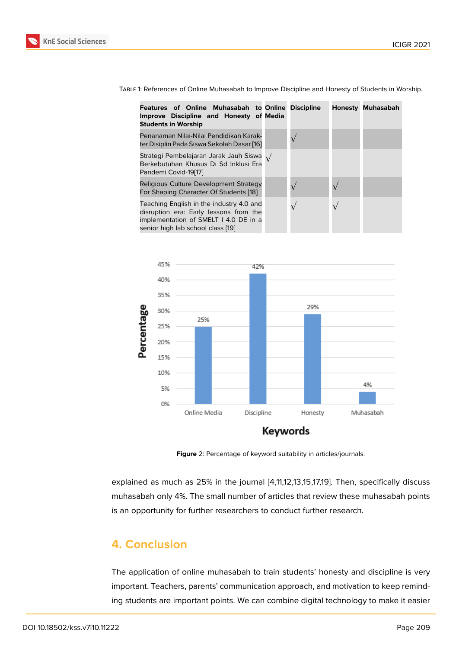Table 1: References of Online Muhasabah to Improve Discipline and Honesty of Students in Worship.

| Features of Online Muhasabah to Online Discipline<br>Improve Discipline and Honesty of Media<br><b>Students in Worship</b>                                       |  | <b>Honesty Muhasabah</b> |
|------------------------------------------------------------------------------------------------------------------------------------------------------------------|--|--------------------------|
| Penanaman Nilai-Nilai Pendidikan Karak-<br>ter Disiplin Pada Siswa Sekolah Dasar [16]                                                                            |  |                          |
| Strategi Pembelajaran Jarak Jauh Siswa $\sqrt{}$<br>Berkebutuhan Khusus Di Sd Inklusi Era<br>Pandemi Covid-19[17]                                                |  |                          |
| Religious Culture Development Strategy<br>For Shaping Character Of Students [18]                                                                                 |  |                          |
| Teaching English in the industry 4.0 and<br>disruption era: Early lessons from the<br>implementation of SMELT I 4.0 DE in a<br>senior high lab school class [19] |  |                          |



**Figure** 2: Percentage of keyword suitability in articles/journals.

explained as much as 25% in the journal [4,11,12,13,15,17,19]. Then, specifically discuss muhasabah only 4%. The small number of articles that review these muhasabah points is an opportunity for further researchers to conduct further research.

# **4. Conclusion**

The application of online muhasabah to train students' honesty and discipline is very important. Teachers, parents' communication approach, and motivation to keep reminding students are important points. We can combine digital technology to make it easier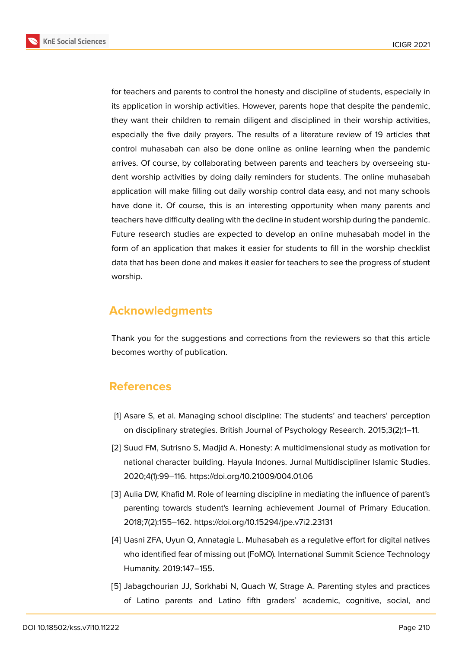**KnE Social Sciences** 



for teachers and parents to control the honesty and discipline of students, especially in its application in worship activities. However, parents hope that despite the pandemic, they want their children to remain diligent and disciplined in their worship activities, especially the five daily prayers. The results of a literature review of 19 articles that control muhasabah can also be done online as online learning when the pandemic arrives. Of course, by collaborating between parents and teachers by overseeing student worship activities by doing daily reminders for students. The online muhasabah application will make filling out daily worship control data easy, and not many schools have done it. Of course, this is an interesting opportunity when many parents and teachers have difficulty dealing with the decline in student worship during the pandemic. Future research studies are expected to develop an online muhasabah model in the form of an application that makes it easier for students to fill in the worship checklist data that has been done and makes it easier for teachers to see the progress of student worship.

# **Acknowledgments**

Thank you for the suggestions and corrections from the reviewers so that this article becomes worthy of publication.

# **References**

- <span id="page-6-4"></span>[1] Asare S, et al. Managing school discipline: The students' and teachers' perception on disciplinary strategies. British Journal of Psychology Research. 2015;3(2):1–11.
- <span id="page-6-0"></span>[2] Suud FM, Sutrisno S, Madjid A. Honesty: A multidimensional study as motivation for national character building. Hayula Indones. Jurnal Multidiscipliner Islamic Studies. 2020;4(1):99–116. https://doi.org/10.21009/004.01.06
- <span id="page-6-1"></span>[3] Aulia DW, Khafid M. Role of learning discipline in mediating the influence of parent's parenting towards student's learning achievement Journal of Primary Education. 2018;7(2):155–162. https://doi.org/10.15294/jpe.v7i2.23131
- <span id="page-6-2"></span>[4] Uasni ZFA, Uyun Q, Annatagia L. Muhasabah as a regulative effort for digital natives who identified fear of missing out (FoMO). International Summit Science Technology Humanity. 2019:147–155.
- <span id="page-6-3"></span>[5] Jabagchourian JJ, Sorkhabi N, Quach W, Strage A. Parenting styles and practices of Latino parents and Latino fifth graders' academic, cognitive, social, and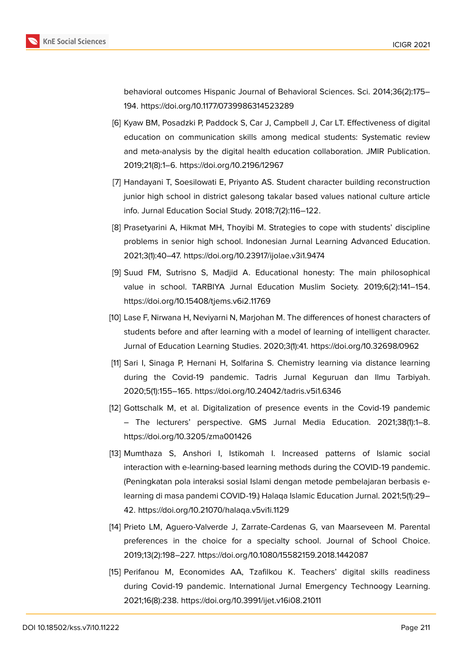

behavioral outcomes Hispanic Journal of Behavioral Sciences. Sci. 2014;36(2):175– 194. https://doi.org/10.1177/0739986314523289

- <span id="page-7-1"></span>[6] Kyaw BM, Posadzki P, Paddock S, Car J, Campbell J, Car LT. Effectiveness of digital education on communication skills among medical students: Systematic review and meta-analysis by the digital health education collaboration. JMIR Publication. 2019;21(8):1–6. https://doi.org/10.2196/12967
- <span id="page-7-0"></span>[7] Handayani T, Soesilowati E, Priyanto AS. Student character building reconstruction junior high school in district galesong takalar based values national culture article info. Jurnal Education Social Study. 2018;7(2):116–122.
- <span id="page-7-2"></span>[8] Prasetyarini A, Hikmat MH, Thoyibi M. Strategies to cope with students' discipline problems in senior high school. Indonesian Jurnal Learning Advanced Education. 2021;3(1):40–47. https://doi.org/10.23917/ijolae.v3i1.9474
- [9] Suud FM, Sutrisno S, Madjid A. Educational honesty: The main philosophical value in school. TARBIYA Jurnal Education Muslim Society. 2019;6(2):141–154. https://doi.org/10.15408/tjems.v6i2.11769
- <span id="page-7-3"></span>[10] Lase F, Nirwana H, Neviyarni N, Marjohan M. The differences of honest characters of students before and after learning with a model of learning of intelligent character. Jurnal of Education Learning Studies. 2020;3(1):41. https://doi.org/10.32698/0962
- <span id="page-7-4"></span>[11] Sari I, Sinaga P, Hernani H, Solfarina S. Chemistry learning via distance learning during the Covid-19 pandemic. Tadris Jurnal Keguruan dan Ilmu Tarbiyah. 2020;5(1):155–165. https://doi.org/10.24042/tadris.v5i1.6346
- <span id="page-7-5"></span>[12] Gottschalk M, et al. Digitalization of presence events in the Covid-19 pandemic – The lecturers' perspective. GMS Jurnal Media Education. 2021;38(1):1–8. https://doi.org/10.3205/zma001426
- <span id="page-7-6"></span>[13] Mumthaza S, Anshori I, Istikomah I. Increased patterns of Islamic social interaction with e-learning-based learning methods during the COVID-19 pandemic. (Peningkatan pola interaksi sosial Islami dengan metode pembelajaran berbasis elearning di masa pandemi COVID-19.) Halaqa Islamic Education Jurnal. 2021;5(1):29– 42. https://doi.org/10.21070/halaqa.v5vi1i.1129
- [14] Prieto LM, Aguero-Valverde J, Zarrate-Cardenas G, van Maarseveen M. Parental preferences in the choice for a specialty school. Journal of School Choice. 2019;13(2):198–227. https://doi.org/10.1080/15582159.2018.1442087
- [15] Perifanou M, Economides AA, Tzafilkou K. Teachers' digital skills readiness during Covid-19 pandemic. International Jurnal Emergency Technoogy Learning. 2021;16(8):238. https://doi.org/10.3991/ijet.v16i08.21011